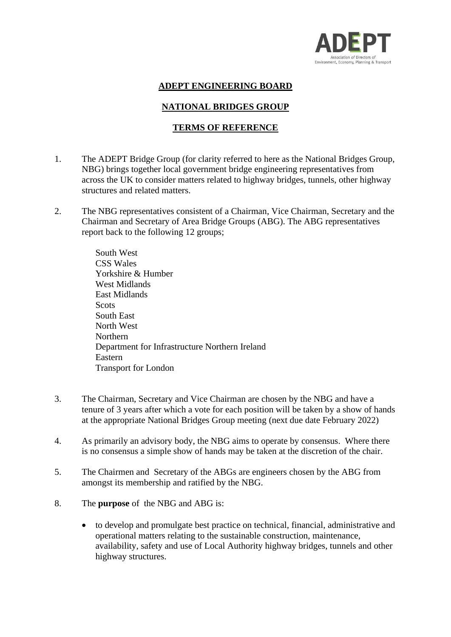

## **ADEPT ENGINEERING BOARD**

## **NATIONAL BRIDGES GROUP**

## **TERMS OF REFERENCE**

- 1. The ADEPT Bridge Group (for clarity referred to here as the National Bridges Group, NBG) brings together local government bridge engineering representatives from across the UK to consider matters related to highway bridges, tunnels, other highway structures and related matters.
- 2. The NBG representatives consistent of a Chairman, Vice Chairman, Secretary and the Chairman and Secretary of Area Bridge Groups (ABG). The ABG representatives report back to the following 12 groups;

South West CSS Wales Yorkshire & Humber West Midlands East Midlands **Scots** South East North West Northern Department for Infrastructure Northern Ireland Eastern Transport for London

- 3. The Chairman, Secretary and Vice Chairman are chosen by the NBG and have a tenure of 3 years after which a vote for each position will be taken by a show of hands at the appropriate National Bridges Group meeting (next due date February 2022)
- 4. As primarily an advisory body, the NBG aims to operate by consensus. Where there is no consensus a simple show of hands may be taken at the discretion of the chair.
- 5. The Chairmen and Secretary of the ABGs are engineers chosen by the ABG from amongst its membership and ratified by the NBG.
- 8. The **purpose** of the NBG and ABG is:
	- to develop and promulgate best practice on technical, financial, administrative and operational matters relating to the sustainable construction, maintenance, availability, safety and use of Local Authority highway bridges, tunnels and other highway structures.